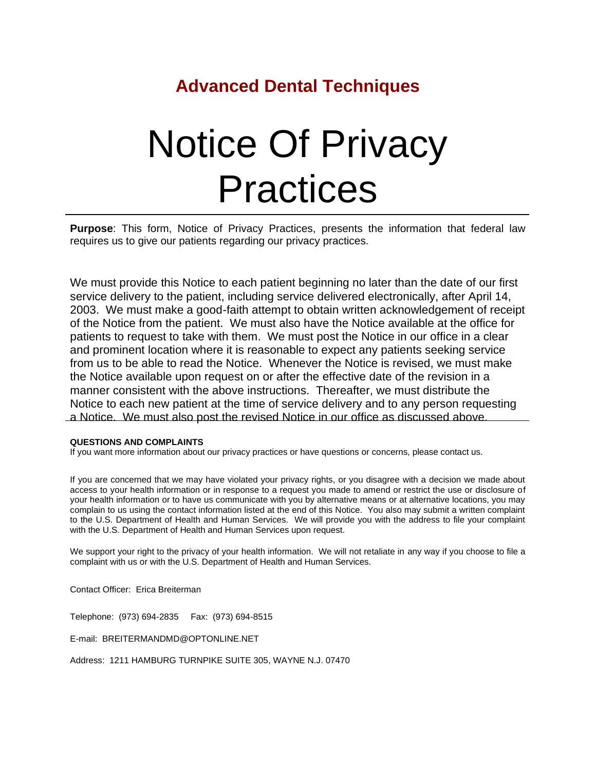## **Advanced Dental Techniques**

# Notice Of Privacy Practices

**Purpose**: This form, Notice of Privacy Practices, presents the information that federal law requires us to give our patients regarding our privacy practices.

We must provide this Notice to each patient beginning no later than the date of our first service delivery to the patient, including service delivered electronically, after April 14, 2003. We must make a good-faith attempt to obtain written acknowledgement of receipt of the Notice from the patient. We must also have the Notice available at the office for patients to request to take with them. We must post the Notice in our office in a clear and prominent location where it is reasonable to expect any patients seeking service from us to be able to read the Notice. Whenever the Notice is revised, we must make the Notice available upon request on or after the effective date of the revision in a manner consistent with the above instructions. Thereafter, we must distribute the Notice to each new patient at the time of service delivery and to any person requesting a Notice. We must also post the revised Notice in our office as discussed above.

#### **QUESTIONS AND COMPLAINTS**

If you want more information about our privacy practices or have questions or concerns, please contact us.

If you are concerned that we may have violated your privacy rights, or you disagree with a decision we made about access to your health information or in response to a request you made to amend or restrict the use or disclosure of your health information or to have us communicate with you by alternative means or at alternative locations, you may complain to us using the contact information listed at the end of this Notice. You also may submit a written complaint to the U.S. Department of Health and Human Services. We will provide you with the address to file your complaint with the U.S. Department of Health and Human Services upon request.

We support your right to the privacy of your health information. We will not retaliate in any way if you choose to file a complaint with us or with the U.S. Department of Health and Human Services.

Contact Officer: Erica Breiterman

Telephone: (973) 694-2835 Fax: (973) 694-8515

E-mail: BREITERMANDMD@OPTONLINE.NET

Address: 1211 HAMBURG TURNPIKE SUITE 305, WAYNE N.J. 07470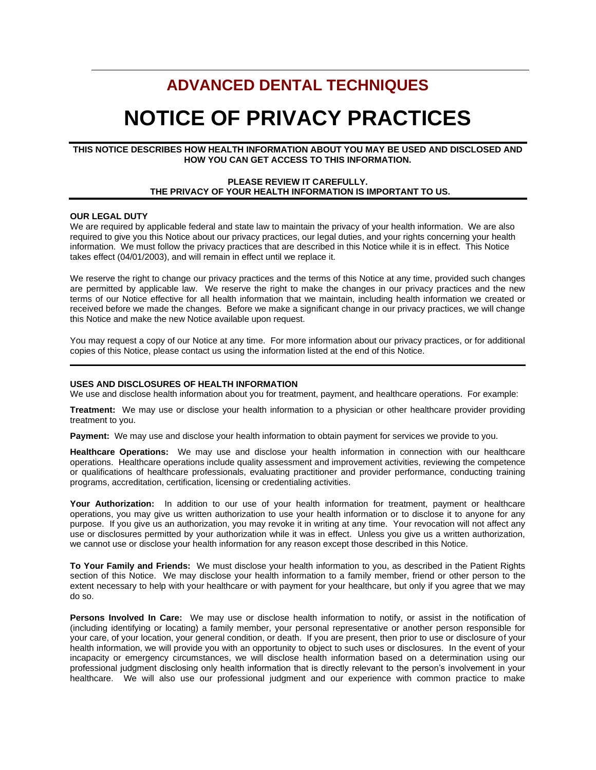### **ADVANCED DENTAL TECHNIQUES**

## **NOTICE OF PRIVACY PRACTICES**

#### **THIS NOTICE DESCRIBES HOW HEALTH INFORMATION ABOUT YOU MAY BE USED AND DISCLOSED AND HOW YOU CAN GET ACCESS TO THIS INFORMATION.**

#### **PLEASE REVIEW IT CAREFULLY. THE PRIVACY OF YOUR HEALTH INFORMATION IS IMPORTANT TO US.**

#### **OUR LEGAL DUTY**

We are required by applicable federal and state law to maintain the privacy of your health information. We are also required to give you this Notice about our privacy practices, our legal duties, and your rights concerning your health information. We must follow the privacy practices that are described in this Notice while it is in effect. This Notice takes effect (04/01/2003), and will remain in effect until we replace it.

We reserve the right to change our privacy practices and the terms of this Notice at any time, provided such changes are permitted by applicable law. We reserve the right to make the changes in our privacy practices and the new terms of our Notice effective for all health information that we maintain, including health information we created or received before we made the changes. Before we make a significant change in our privacy practices, we will change this Notice and make the new Notice available upon request.

You may request a copy of our Notice at any time. For more information about our privacy practices, or for additional copies of this Notice, please contact us using the information listed at the end of this Notice.

#### **USES AND DISCLOSURES OF HEALTH INFORMATION**

We use and disclose health information about you for treatment, payment, and healthcare operations. For example:

**Treatment:** We may use or disclose your health information to a physician or other healthcare provider providing treatment to you.

**Payment:** We may use and disclose your health information to obtain payment for services we provide to you.

**Healthcare Operations:** We may use and disclose your health information in connection with our healthcare operations. Healthcare operations include quality assessment and improvement activities, reviewing the competence or qualifications of healthcare professionals, evaluating practitioner and provider performance, conducting training programs, accreditation, certification, licensing or credentialing activities.

**Your Authorization:** In addition to our use of your health information for treatment, payment or healthcare operations, you may give us written authorization to use your health information or to disclose it to anyone for any purpose. If you give us an authorization, you may revoke it in writing at any time. Your revocation will not affect any use or disclosures permitted by your authorization while it was in effect. Unless you give us a written authorization, we cannot use or disclose your health information for any reason except those described in this Notice.

**To Your Family and Friends:** We must disclose your health information to you, as described in the Patient Rights section of this Notice. We may disclose your health information to a family member, friend or other person to the extent necessary to help with your healthcare or with payment for your healthcare, but only if you agree that we may do so.

**Persons Involved In Care:** We may use or disclose health information to notify, or assist in the notification of (including identifying or locating) a family member, your personal representative or another person responsible for your care, of your location, your general condition, or death. If you are present, then prior to use or disclosure of your health information, we will provide you with an opportunity to object to such uses or disclosures. In the event of your incapacity or emergency circumstances, we will disclose health information based on a determination using our professional judgment disclosing only health information that is directly relevant to the person's involvement in your healthcare. We will also use our professional judgment and our experience with common practice to make